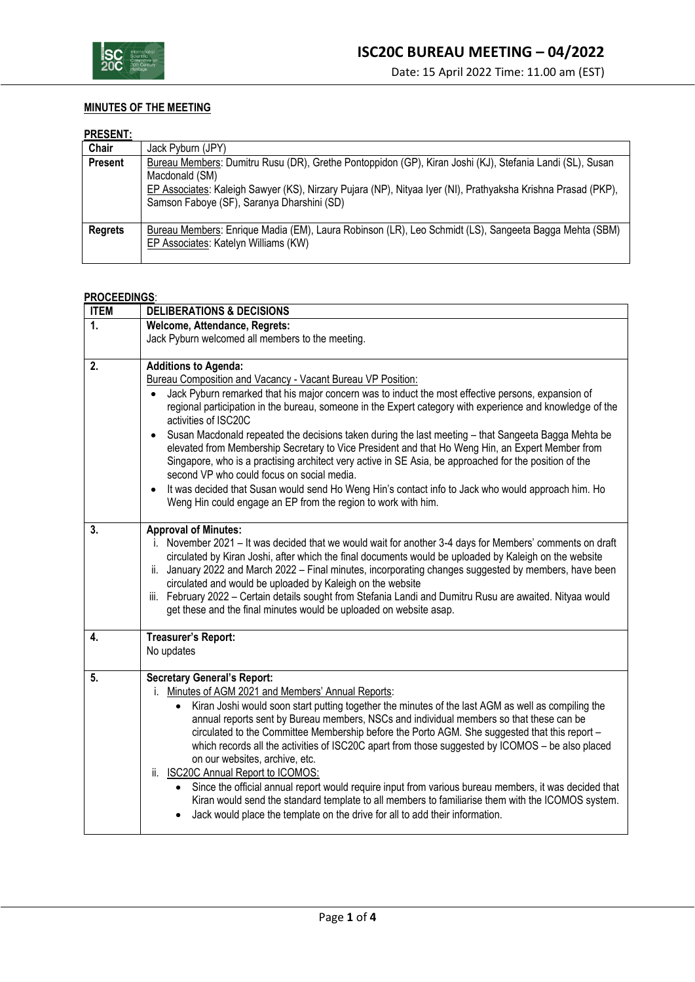

## **MINUTES OF THE MEETING**

## **PRESENT:**

| .              |                                                                                                                                                                                                                                                                                          |
|----------------|------------------------------------------------------------------------------------------------------------------------------------------------------------------------------------------------------------------------------------------------------------------------------------------|
| Chair          | Jack Pyburn (JPY)                                                                                                                                                                                                                                                                        |
| <b>Present</b> | Bureau Members: Dumitru Rusu (DR), Grethe Pontoppidon (GP), Kiran Joshi (KJ), Stefania Landi (SL), Susan<br>Macdonald (SM)<br>EP Associates: Kaleigh Sawyer (KS), Nirzary Pujara (NP), Nityaa Iyer (NI), Prathyaksha Krishna Prasad (PKP),<br>Samson Faboye (SF), Saranya Dharshini (SD) |
| <b>Regrets</b> | Bureau Members: Enrique Madia (EM), Laura Robinson (LR), Leo Schmidt (LS), Sangeeta Bagga Mehta (SBM)<br>EP Associates: Katelyn Williams (KW)                                                                                                                                            |

## **PROCEEDINGS**:

| <b>ITEM</b>  | <b>DELIBERATIONS &amp; DECISIONS</b>                                                                                                                                                                                                                                                                                                                                                                                                                                                                                                                                                                                                                                                                                                                                                                                                                                                                      |  |  |  |
|--------------|-----------------------------------------------------------------------------------------------------------------------------------------------------------------------------------------------------------------------------------------------------------------------------------------------------------------------------------------------------------------------------------------------------------------------------------------------------------------------------------------------------------------------------------------------------------------------------------------------------------------------------------------------------------------------------------------------------------------------------------------------------------------------------------------------------------------------------------------------------------------------------------------------------------|--|--|--|
| $\mathbf{1}$ | Welcome, Attendance, Regrets:                                                                                                                                                                                                                                                                                                                                                                                                                                                                                                                                                                                                                                                                                                                                                                                                                                                                             |  |  |  |
|              | Jack Pyburn welcomed all members to the meeting.                                                                                                                                                                                                                                                                                                                                                                                                                                                                                                                                                                                                                                                                                                                                                                                                                                                          |  |  |  |
| 2.           | <b>Additions to Agenda:</b><br>Bureau Composition and Vacancy - Vacant Bureau VP Position:<br>Jack Pyburn remarked that his major concern was to induct the most effective persons, expansion of<br>regional participation in the bureau, someone in the Expert category with experience and knowledge of the<br>activities of ISC20C<br>Susan Macdonald repeated the decisions taken during the last meeting - that Sangeeta Bagga Mehta be<br>$\bullet$<br>elevated from Membership Secretary to Vice President and that Ho Weng Hin, an Expert Member from<br>Singapore, who is a practising architect very active in SE Asia, be approached for the position of the<br>second VP who could focus on social media.<br>It was decided that Susan would send Ho Weng Hin's contact info to Jack who would approach him. Ho<br>$\bullet$<br>Weng Hin could engage an EP from the region to work with him. |  |  |  |
| 3.           | <b>Approval of Minutes:</b><br>i. November 2021 - It was decided that we would wait for another 3-4 days for Members' comments on draft<br>circulated by Kiran Joshi, after which the final documents would be uploaded by Kaleigh on the website<br>ii. January 2022 and March 2022 - Final minutes, incorporating changes suggested by members, have been<br>circulated and would be uploaded by Kaleigh on the website<br>iii. February 2022 - Certain details sought from Stefania Landi and Dumitru Rusu are awaited. Nityaa would<br>get these and the final minutes would be uploaded on website asap.                                                                                                                                                                                                                                                                                             |  |  |  |
| 4.           | Treasurer's Report:<br>No updates                                                                                                                                                                                                                                                                                                                                                                                                                                                                                                                                                                                                                                                                                                                                                                                                                                                                         |  |  |  |
| 5.           | <b>Secretary General's Report:</b><br>i. Minutes of AGM 2021 and Members' Annual Reports:<br>Kiran Joshi would soon start putting together the minutes of the last AGM as well as compiling the<br>annual reports sent by Bureau members, NSCs and individual members so that these can be<br>circulated to the Committee Membership before the Porto AGM. She suggested that this report -<br>which records all the activities of ISC20C apart from those suggested by ICOMOS - be also placed<br>on our websites, archive, etc.<br>ii. ISC20C Annual Report to ICOMOS:<br>Since the official annual report would require input from various bureau members, it was decided that<br>Kiran would send the standard template to all members to familiarise them with the ICOMOS system.<br>Jack would place the template on the drive for all to add their information.                                    |  |  |  |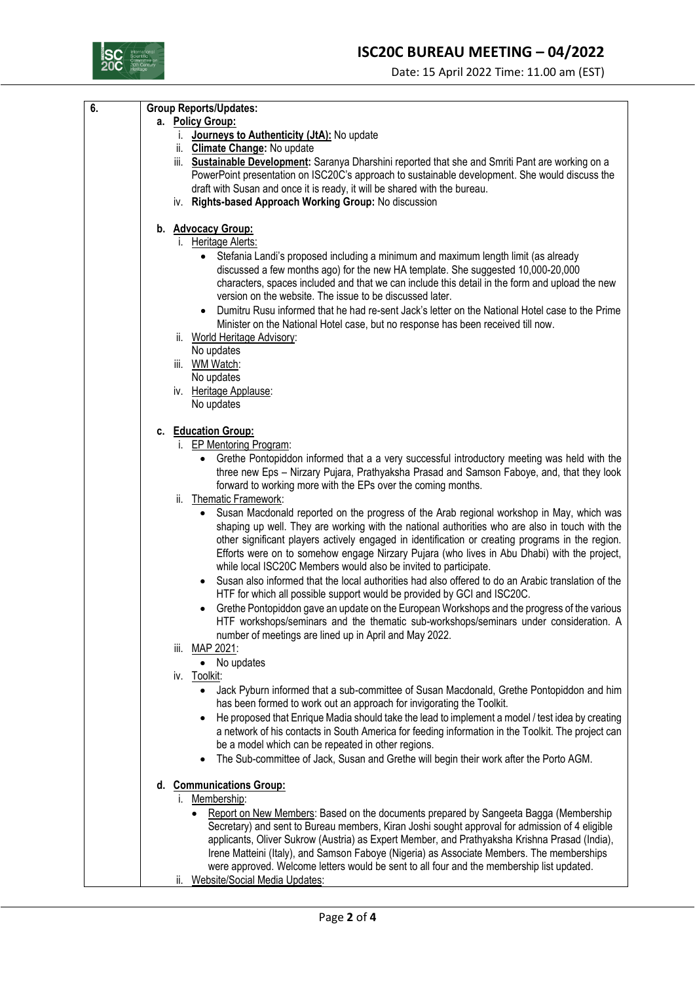## **ISC20C BUREAU MEETING – 04/2022**



| 6. | <b>Group Reports/Updates:</b>                                                                                                                                                 |
|----|-------------------------------------------------------------------------------------------------------------------------------------------------------------------------------|
|    | a. Policy Group:                                                                                                                                                              |
|    | i. Journeys to Authenticity (JtA): No update                                                                                                                                  |
|    | ii. Climate Change: No update                                                                                                                                                 |
|    | iii. Sustainable Development: Saranya Dharshini reported that she and Smriti Pant are working on a                                                                            |
|    | PowerPoint presentation on ISC20C's approach to sustainable development. She would discuss the                                                                                |
|    | draft with Susan and once it is ready, it will be shared with the bureau.                                                                                                     |
|    | iv. Rights-based Approach Working Group: No discussion                                                                                                                        |
|    | b. Advocacy Group:                                                                                                                                                            |
|    | i. Heritage Alerts:                                                                                                                                                           |
|    | Stefania Landi's proposed including a minimum and maximum length limit (as already                                                                                            |
|    | discussed a few months ago) for the new HA template. She suggested 10,000-20,000                                                                                              |
|    | characters, spaces included and that we can include this detail in the form and upload the new                                                                                |
|    | version on the website. The issue to be discussed later.                                                                                                                      |
|    | Dumitru Rusu informed that he had re-sent Jack's letter on the National Hotel case to the Prime                                                                               |
|    | Minister on the National Hotel case, but no response has been received till now.                                                                                              |
|    | ii. World Heritage Advisory:                                                                                                                                                  |
|    | No updates                                                                                                                                                                    |
|    | iii. WM Watch:                                                                                                                                                                |
|    | No updates                                                                                                                                                                    |
|    | iv. Heritage Applause:                                                                                                                                                        |
|    | No updates                                                                                                                                                                    |
|    | c. Education Group:                                                                                                                                                           |
|    | i. EP Mentoring Program:                                                                                                                                                      |
|    | Grethe Pontopiddon informed that a a very successful introductory meeting was held with the<br>$\bullet$                                                                      |
|    | three new Eps - Nirzary Pujara, Prathyaksha Prasad and Samson Faboye, and, that they look                                                                                     |
|    | forward to working more with the EPs over the coming months.                                                                                                                  |
|    | Thematic Framework:<br>ii.                                                                                                                                                    |
|    | Susan Macdonald reported on the progress of the Arab regional workshop in May, which was                                                                                      |
|    | shaping up well. They are working with the national authorities who are also in touch with the                                                                                |
|    | other significant players actively engaged in identification or creating programs in the region.                                                                              |
|    | Efforts were on to somehow engage Nirzary Pujara (who lives in Abu Dhabi) with the project,                                                                                   |
|    | while local ISC20C Members would also be invited to participate.                                                                                                              |
|    | Susan also informed that the local authorities had also offered to do an Arabic translation of the<br>HTF for which all possible support would be provided by GCI and ISC20C. |
|    | Grethe Pontopiddon gave an update on the European Workshops and the progress of the various                                                                                   |
|    | HTF workshops/seminars and the thematic sub-workshops/seminars under consideration. A                                                                                         |
|    | number of meetings are lined up in April and May 2022.                                                                                                                        |
|    | iii. MAP 2021:                                                                                                                                                                |
|    | No updates<br>$\bullet$                                                                                                                                                       |
|    | iv. Toolkit:                                                                                                                                                                  |
|    | Jack Pyburn informed that a sub-committee of Susan Macdonald, Grethe Pontopiddon and him<br>$\bullet$                                                                         |
|    | has been formed to work out an approach for invigorating the Toolkit.                                                                                                         |
|    | He proposed that Enrique Madia should take the lead to implement a model / test idea by creating<br>$\bullet$                                                                 |
|    | a network of his contacts in South America for feeding information in the Toolkit. The project can                                                                            |
|    | be a model which can be repeated in other regions.                                                                                                                            |
|    | The Sub-committee of Jack, Susan and Grethe will begin their work after the Porto AGM.<br>$\bullet$                                                                           |
|    | d. Communications Group:                                                                                                                                                      |
|    | i. Membership:                                                                                                                                                                |
|    | Report on New Members: Based on the documents prepared by Sangeeta Bagga (Membership<br>$\bullet$                                                                             |
|    | Secretary) and sent to Bureau members, Kiran Joshi sought approval for admission of 4 eligible                                                                                |
|    | applicants, Oliver Sukrow (Austria) as Expert Member, and Prathyaksha Krishna Prasad (India),                                                                                 |
|    | Irene Matteini (Italy), and Samson Faboye (Nigeria) as Associate Members. The memberships                                                                                     |
|    | were approved. Welcome letters would be sent to all four and the membership list updated.                                                                                     |
|    | Website/Social Media Updates:<br>ii.                                                                                                                                          |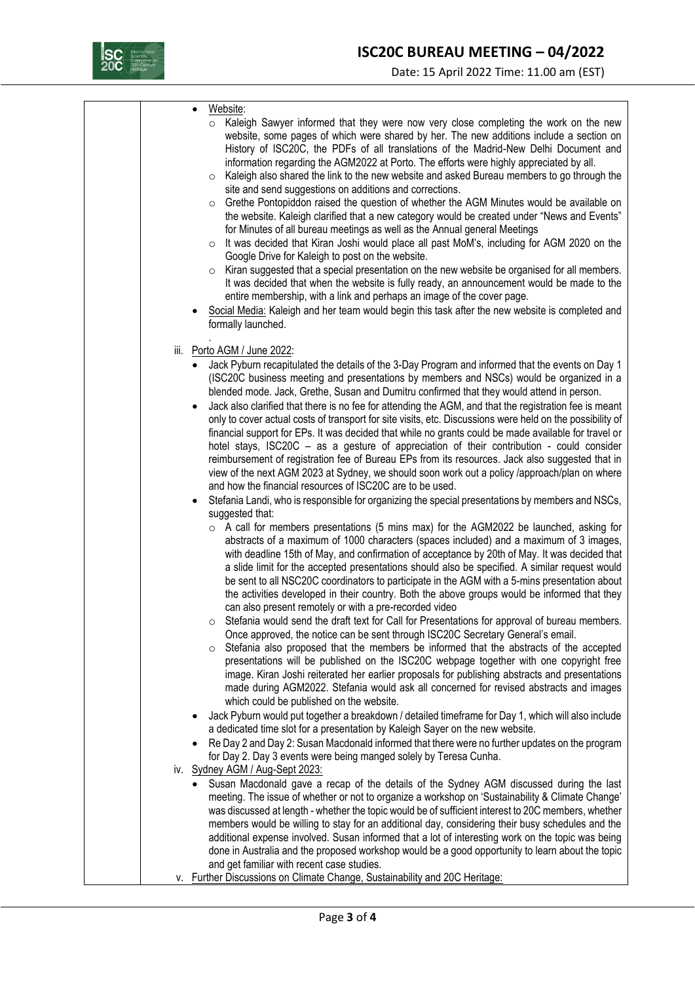

|  | Website:<br>$\bullet$<br>Kaleigh Sawyer informed that they were now very close completing the work on the new<br>website, some pages of which were shared by her. The new additions include a section on<br>History of ISC20C, the PDFs of all translations of the Madrid-New Delhi Document and<br>information regarding the AGM2022 at Porto. The efforts were highly appreciated by all.<br>Kaleigh also shared the link to the new website and asked Bureau members to go through the<br>$\circ$<br>site and send suggestions on additions and corrections.<br>Grethe Pontopiddon raised the question of whether the AGM Minutes would be available on<br>$\circ$<br>the website. Kaleigh clarified that a new category would be created under "News and Events"<br>for Minutes of all bureau meetings as well as the Annual general Meetings<br>It was decided that Kiran Joshi would place all past MoM's, including for AGM 2020 on the<br>$\circ$<br>Google Drive for Kaleigh to post on the website.<br>Kiran suggested that a special presentation on the new website be organised for all members.<br>$\circ$<br>It was decided that when the website is fully ready, an announcement would be made to the<br>entire membership, with a link and perhaps an image of the cover page.<br>Social Media: Kaleigh and her team would begin this task after the new website is completed and<br>formally launched. |
|--|--------------------------------------------------------------------------------------------------------------------------------------------------------------------------------------------------------------------------------------------------------------------------------------------------------------------------------------------------------------------------------------------------------------------------------------------------------------------------------------------------------------------------------------------------------------------------------------------------------------------------------------------------------------------------------------------------------------------------------------------------------------------------------------------------------------------------------------------------------------------------------------------------------------------------------------------------------------------------------------------------------------------------------------------------------------------------------------------------------------------------------------------------------------------------------------------------------------------------------------------------------------------------------------------------------------------------------------------------------------------------------------------------------------------------|
|  |                                                                                                                                                                                                                                                                                                                                                                                                                                                                                                                                                                                                                                                                                                                                                                                                                                                                                                                                                                                                                                                                                                                                                                                                                                                                                                                                                                                                                          |
|  | iii. Porto AGM / June 2022:<br>Jack Pyburn recapitulated the details of the 3-Day Program and informed that the events on Day 1<br>(ISC20C business meeting and presentations by members and NSCs) would be organized in a<br>blended mode. Jack, Grethe, Susan and Dumitru confirmed that they would attend in person.<br>Jack also clarified that there is no fee for attending the AGM, and that the registration fee is meant<br>$\bullet$<br>only to cover actual costs of transport for site visits, etc. Discussions were held on the possibility of<br>financial support for EPs. It was decided that while no grants could be made available for travel or<br>hotel stays, ISC20C - as a gesture of appreciation of their contribution - could consider<br>reimbursement of registration fee of Bureau EPs from its resources. Jack also suggested that in<br>view of the next AGM 2023 at Sydney, we should soon work out a policy /approach/plan on where<br>and how the financial resources of ISC20C are to be used.                                                                                                                                                                                                                                                                                                                                                                                        |
|  | Stefania Landi, who is responsible for organizing the special presentations by members and NSCs,<br>suggested that:<br>$\circ$ A call for members presentations (5 mins max) for the AGM2022 be launched, asking for<br>abstracts of a maximum of 1000 characters (spaces included) and a maximum of 3 images,<br>with deadline 15th of May, and confirmation of acceptance by 20th of May. It was decided that<br>a slide limit for the accepted presentations should also be specified. A similar request would<br>be sent to all NSC20C coordinators to participate in the AGM with a 5-mins presentation about<br>the activities developed in their country. Both the above groups would be informed that they<br>can also present remotely or with a pre-recorded video<br>Stefania would send the draft text for Call for Presentations for approval of bureau members.<br>O<br>Once approved, the notice can be sent through ISC20C Secretary General's email.<br>Stefania also proposed that the members be informed that the abstracts of the accepted<br>$\circ$<br>presentations will be published on the ISC20C webpage together with one copyright free<br>image. Kiran Joshi reiterated her earlier proposals for publishing abstracts and presentations<br>made during AGM2022. Stefania would ask all concerned for revised abstracts and images<br>which could be published on the website.             |
|  | Jack Pyburn would put together a breakdown / detailed timeframe for Day 1, which will also include<br>a dedicated time slot for a presentation by Kaleigh Sayer on the new website.<br>Re Day 2 and Day 2: Susan Macdonald informed that there were no further updates on the program<br>$\bullet$<br>for Day 2. Day 3 events were being manged solely by Teresa Cunha.                                                                                                                                                                                                                                                                                                                                                                                                                                                                                                                                                                                                                                                                                                                                                                                                                                                                                                                                                                                                                                                  |
|  | iv. Sydney AGM / Aug-Sept 2023:<br>Susan Macdonald gave a recap of the details of the Sydney AGM discussed during the last<br>$\bullet$<br>meeting. The issue of whether or not to organize a workshop on 'Sustainability & Climate Change'<br>was discussed at length - whether the topic would be of sufficient interest to 20C members, whether<br>members would be willing to stay for an additional day, considering their busy schedules and the<br>additional expense involved. Susan informed that a lot of interesting work on the topic was being<br>done in Australia and the proposed workshop would be a good opportunity to learn about the topic<br>and get familiar with recent case studies.<br>v. Further Discussions on Climate Change, Sustainability and 20C Heritage:                                                                                                                                                                                                                                                                                                                                                                                                                                                                                                                                                                                                                              |
|  |                                                                                                                                                                                                                                                                                                                                                                                                                                                                                                                                                                                                                                                                                                                                                                                                                                                                                                                                                                                                                                                                                                                                                                                                                                                                                                                                                                                                                          |